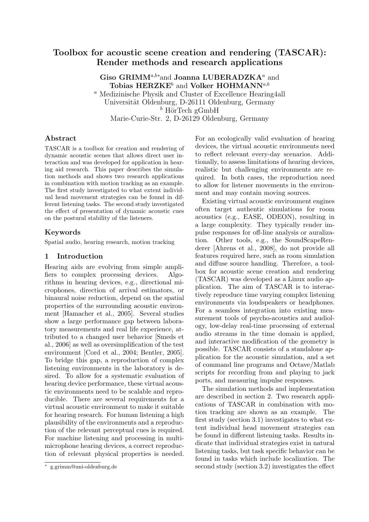# Toolbox for acoustic scene creation and rendering (TASCAR): Render methods and research applications

Giso GRIMM<sup>a,b∗</sup>and Joanna LUBERADZKA<sup>a</sup> and Tobias  $HERZKE^b$  and Volker HOHMANN<sup>a,b</sup> <sup>a</sup> Medizinische Physik and Cluster of Excellence Hearing4all Universität Oldenburg, D-26111 Oldenburg, Germany  $b$  HörTech gGmbH Marie-Curie-Str. 2, D-26129 Oldenburg, Germany

# Abstract

TASCAR is a toolbox for creation and rendering of dynamic acoustic scenes that allows direct user interaction and was developed for application in hearing aid research. This paper describes the simulation methods and shows two research applications in combination with motion tracking as an example. The first study investigated to what extent individual head movement strategies can be found in different listening tasks. The second study investigated the effect of presentation of dynamic acoustic cues on the postural stability of the listeners.

# Keywords

Spatial audio, hearing research, motion tracking

# 1 Introduction

Hearing aids are evolving from simple amplifiers to complex processing devices. Algorithms in hearing devices, e.g., directional microphones, direction of arrival estimators, or binaural noise reduction, depend on the spatial properties of the surrounding acoustic environment [Hamacher et al., 2005]. Several studies show a large performance gap between laboratory measurements and real life experience, attributed to a changed user behavior [Smeds et al., 2006] as well as oversimplification of the test environment [Cord et al., 2004; Bentler, 2005]. To bridge this gap, a reproduction of complex listening environments in the laboratory is desired. To allow for a systematic evaluation of hearing device performance, these virtual acoustic environments need to be scalable and reproducible. There are several requirements for a virtual acoustic environment to make it suitable for hearing research. For human listening a high plausibility of the environments and a reproduction of the relevant perceptual cues is required. For machine listening and processing in multimicrophone hearing devices, a correct reproduction of relevant physical properties is needed. For an ecologically valid evaluation of hearing devices, the virtual acoustic environments need to reflect relevant every-day scenarios. Additionally, to assess limitations of hearing devices, realistic but challenging environments are required. In both cases, the reproduction need to allow for listener movements in the environment and may contain moving sources.

Existing virtual acoustic environment engines often target authentic simulations for room acoustics (e.g., EASE, ODEON), resulting in a large complexity. They typically render impulse responses for off-line analysis or auralization. Other tools, e.g., the SoundScapeRenderer [Ahrens et al., 2008], do not provide all features required here, such as room simulation and diffuse source handling. Therefore, a toolbox for acoustic scene creation and rendering (TASCAR) was developed as a Linux audio application. The aim of TASCAR is to interactively reproduce time varying complex listening environments via loudspeakers or headphones. For a seamless integration into existing measurement tools of psycho-acoustics and audiology, low-delay real-time processing of external audio streams in the time domain is applied, and interactive modification of the geometry is possible. TASCAR consists of a standalone application for the acoustic simulation, and a set of command line programs and Octave/Matlab scripts for recording from and playing to jack ports, and measuring impulse responses.

The simulation methods and implementation are described in section 2. Two research applications of TASCAR in combination with motion tracking are shown as an example. The first study (section 3.1) investigates to what extent individual head movement strategies can be found in different listening tasks. Results indicate that individual strategies exist in natural listening tasks, but task specific behavior can be found in tasks which include localization. The second study (section 3.2) investigates the effect

<sup>∗</sup> g.grimm@uni-oldenburg.de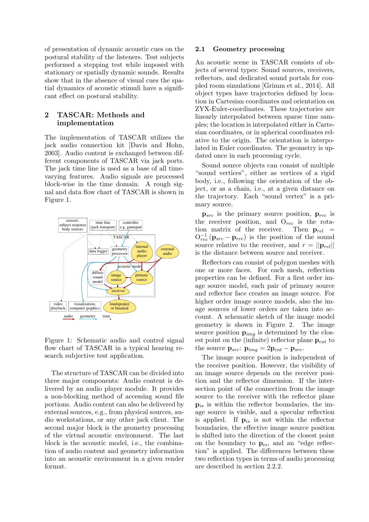of presentation of dynamic acoustic cues on the postural stability of the listeners. Test subjects performed a stepping test while imposed with stationary or spatially dynamic sounds. Results show that in the absence of visual cues the spatial dynamics of acoustic stimuli have a significant effect on postural stability.

# 2 TASCAR: Methods and implementation

The implementation of TASCAR utilizes the jack audio connection kit [Davis and Hohn, 2003]. Audio content is exchanged between different components of TASCAR via jack ports. The jack time line is used as a base of all timevarying features. Audio signals are processed block-wise in the time domain. A rough signal and data flow chart of TASCAR is shown in Figure 1.



Figure 1: Schematic audio and control signal flow chart of TASCAR in a typical hearing research subjective test application.

The structure of TASCAR can be divided into three major components: Audio content is delivered by an audio player module. It provides a non-blocking method of accessing sound file portions. Audio content can also be delivered by external sources, e.g., from physical sources, audio workstations, or any other jack client. The second major block is the geometry processing of the virtual acoustic environment. The last block is the acoustic model, i.e., the combination of audio content and geometry information into an acoustic environment in a given render format.

#### 2.1 Geometry processing

An acoustic scene in TASCAR consists of objects of several types: Sound sources, receivers, reflectors, and dedicated sound portals for coupled room simulations [Grimm et al., 2014]. All object types have trajectories defined by location in Cartesian coordinates and orientation on ZYX-Euler-coordinates. These trajectories are linearly interpolated between sparse time samples; the location is interpolated either in Cartesian coordinates, or in spherical coordinates relative to the origin. The orientation is interpolated in Euler coordinates. The geometry is updated once in each processing cycle.

Sound source objects can consist of multiple "sound vertices", either as vertices of a rigid body, i.e., following the orientation of the object, or as a chain, i.e., at a given distance on the trajectory. Each "sound vertex" is a primary source.

 $\mathbf{p}_{src}$  is the primary source position,  $\mathbf{p}_{rec}$  is the receiver position, and  $O_{rec}$  is the rotation matrix of the receiver. Then  $\mathbf{p}_{rel}$  =  $O_{rec}^{-1}(\mathbf{p}_{src} - \mathbf{p}_{rec})$  is the position of the sound source relative to the receiver, and  $r = ||\mathbf{p}_{rel}||$ is the distance between source and receiver.

Reflectors can consist of polygon meshes with one or more faces. For each mesh, reflection properties can be defined. For a first order image source model, each pair of primary source and reflector face creates an image source. For higher order image source models, also the image sources of lower orders are taken into account. A schematic sketch of the image model geometry is shown in Figure 2. The image source position  $\mathbf{p}_{img}$  is determined by the closest point on the (infinite) reflector plane  ${\bf p}_{cut}$  to the source  $\mathbf{p}_{src}$ :  $\mathbf{p}_{img} = 2\mathbf{p}_{cut} - \mathbf{p}_{src}$ .

The image source position is independent of the receiver position. However, the visibility of an image source depends on the receiver position and the reflector dimension. If the intersection point of the connection from the image source to the receiver with the reflector plane  $\mathbf{p}_{is}$  is within the reflector boundaries, the image source is visible, and a specular reflection is applied. If  $\mathbf{p}_{is}$  is not within the reflector boundaries, the effective image source position is shifted into the direction of the closest point on the boundary to  $\mathbf{p}_{is}$ , and an "edge reflection" is applied. The differences between these two reflection types in terms of audio processing are described in section 2.2.2.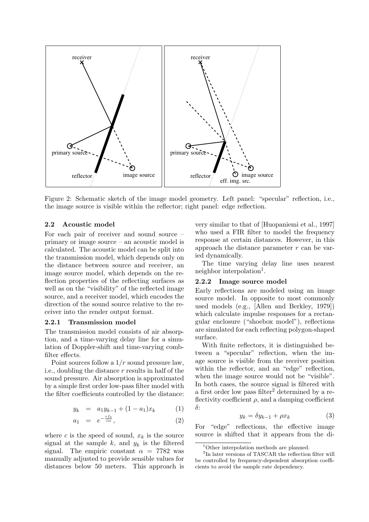

Figure 2: Schematic sketch of the image model geometry. Left panel: "specular" reflection, i.e., the image source is visible within the reflector; right panel: edge reflection.

## 2.2 Acoustic model

For each pair of receiver and sound source – primary or image source – an acoustic model is calculated. The acoustic model can be split into the transmission model, which depends only on the distance between source and receiver, an image source model, which depends on the reflection properties of the reflecting surfaces as well as on the "visibility" of the reflected image source, and a receiver model, which encodes the direction of the sound source relative to the receiver into the render output format.

#### 2.2.1 Transmission model

The transmission model consists of air absorption, and a time-varying delay line for a simulation of Doppler-shift and time-varying combfilter effects.

Point sources follow a  $1/r$  sound pressure law, i.e., doubling the distance  $r$  results in half of the sound pressure. Air absorption is approximated by a simple first order low-pass filter model with the filter coefficients controlled by the distance:

$$
y_k = a_1 y_{k-1} + (1 - a_1) x_k \tag{1}
$$

$$
a_1 = e^{-\frac{rf_s}{c\alpha}}, \qquad (2)
$$

where c is the speed of sound,  $x_k$  is the source signal at the sample  $k$ , and  $y_k$  is the filtered signal. The empiric constant  $\alpha = 7782$  was manually adjusted to provide sensible values for distances below 50 meters. This approach is very similar to that of [Huopaniemi et al., 1997] who used a FIR filter to model the frequency response at certain distances. However, in this approach the distance parameter  $r$  can be varied dynamically.

The time varying delay line uses nearest neighbor interpolation<sup>1</sup>.

## 2.2.2 Image source model

Early reflections are modeled using an image source model. In opposite to most commonly used models (e.g., [Allen and Berkley, 1979]) which calculate impulse responses for a rectangular enclosure ("shoebox model"), reflections are simulated for each reflecting polygon-shaped surface.

With finite reflectors, it is distinguished between a "specular" reflection, when the image source is visible from the receiver position within the reflector, and an "edge" reflection, when the image source would not be "visible". In both cases, the source signal is filtered with a first order low pass filter<sup>2</sup> determined by a reflectivity coefficient  $\rho$ , and a damping coefficient δ:

$$
y_k = \delta y_{k-1} + \rho x_k \tag{3}
$$

For "edge" reflections, the effective image source is shifted that it appears from the di-

<sup>1</sup>Other interpolation methods are planned.

<sup>2</sup> In later versions of TASCAR the reflection filter will be controlled by frequency-dependent absorption coefficients to avoid the sample rate dependency.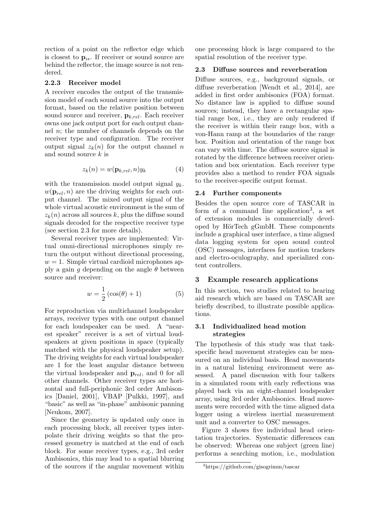rection of a point on the reflector edge which is closest to  $\mathbf{p}_{is}$ . If receiver or sound source are behind the reflector, the image source is not rendered.

#### 2.2.3 Receiver model

A receiver encodes the output of the transmission model of each sound source into the output format, based on the relative position between sound source and receiver,  $\mathbf{p}_{k,rel}$ . Each receiver owns one jack output port for each output channel  $n$ ; the number of channels depends on the receiver type and configuration. The receiver output signal  $z_k(n)$  for the output channel n and sound source k is

$$
z_k(n) = w(\mathbf{p}_{k,rel}, n)y_k \tag{4}
$$

with the transmission model output signal  $y_k$ .  $w(\mathbf{p}_{rel}, n)$  are the driving weights for each output channel. The mixed output signal of the whole virtual acoustic environment is the sum of  $z_k(n)$  across all sources k, plus the diffuse sound signals decoded for the respective receiver type (see section 2.3 for more details).

Several receiver types are implemented: Virtual omni-directional microphones simply return the output without directional processing,  $w = 1$ . Simple virtual cardioid microphones apply a gain q depending on the angle  $\theta$  between source and receiver:

$$
w = \frac{1}{2} \left( \cos(\theta) + 1 \right) \tag{5}
$$

For reproduction via multichannel loudspeaker arrays, receiver types with one output channel for each loudspeaker can be used. A "nearest speaker" receiver is a set of virtual loudspeakers at given positions in space (typically matched with the physical loudspeaker setup). The driving weights for each virtual loudspeaker are 1 for the least angular distance between the virtual loudspeaker and  $\mathbf{p}_{rel}$ , and 0 for all other channels. Other receiver types are horizontal and full-periphonic 3rd order Ambisonics [Daniel, 2001], VBAP [Pulkki, 1997], and "basic" as well as "in-phase" ambisonic panning [Neukom, 2007].

Since the geometry is updated only once in each processing block, all receiver types interpolate their driving weights so that the processed geometry is matched at the end of each block. For some receiver types, e.g., 3rd order Ambisonics, this may lead to a spatial blurring of the sources if the angular movement within

one processing block is large compared to the spatial resolution of the receiver type.

#### 2.3 Diffuse sources and reverberation

Diffuse sources, e.g., background signals, or diffuse reverberation [Wendt et al., 2014], are added in first order ambisonics (FOA) format. No distance law is applied to diffuse sound sources; instead, they have a rectangular spatial range box, i.e., they are only rendered if the receiver is within their range box, with a von-Hann ramp at the boundaries of the range box. Position and orientation of the range box can vary with time. The diffuse source signal is rotated by the difference between receiver orientation and box orientation. Each receiver type provides also a method to render FOA signals to the receiver-specific output format.

# 2.4 Further components

Besides the open source core of TASCAR in form of a command line application<sup>3</sup>, a set of extension modules is commercially developed by HörTech gGmbH. These components include a graphical user interface, a time aligned data logging system for open sound control (OSC) messages, interfaces for motion trackers and electro-oculography, and specialized content controllers.

#### 3 Example research applications

In this section, two studies related to hearing aid research which are based on TASCAR are briefly described, to illustrate possible applications.

## 3.1 Individualized head motion strategies

The hypothesis of this study was that taskspecific head movement strategies can be measured on an individual basis. Head movements in a natural listening environment were assessed. A panel discussion with four talkers in a simulated room with early reflections was played back via an eight-channel loudspeaker array, using 3rd order Ambisonics. Head movements were recorded with the time aligned data logger using a wireless inertial measurement unit and a converter to OSC messages.

Figure 3 shows five individual head orientation trajectories. Systematic differences can be observed: Whereas one subject (green line) performs a searching motion, i.e., modulation

<sup>3</sup>https://github.com/gisogrimm/tascar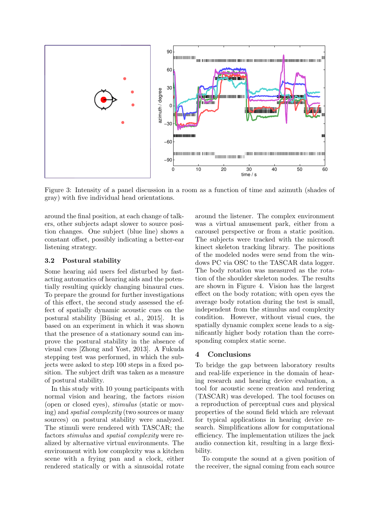

Figure 3: Intensity of a panel discussion in a room as a function of time and azimuth (shades of gray) with five individual head orientations.

around the final position, at each change of talkers, other subjects adapt slower to source position changes. One subject (blue line) shows a constant offset, possibly indicating a better-ear listening strategy.

# 3.2 Postural stability

Some hearing aid users feel disturbed by fastacting automatics of hearing aids and the potentially resulting quickly changing binaural cues. To prepare the ground for further investigations of this effect, the second study assessed the effect of spatially dynamic acoustic cues on the postural stability [Büsing et al., 2015]. It is based on an experiment in which it was shown that the presence of a stationary sound can improve the postural stability in the absence of visual cues [Zhong and Yost, 2013]. A Fukuda stepping test was performed, in which the subjects were asked to step 100 steps in a fixed position. The subject drift was taken as a measure of postural stability.

In this study with 10 young participants with normal vision and hearing, the factors vision (open or closed eyes), stimulus (static or moving) and spatial complexity (two sources or many sources) on postural stability were analyzed. The stimuli were rendered with TASCAR; the factors stimulus and spatial complexity were realized by alternative virtual environments. The environment with low complexity was a kitchen scene with a frying pan and a clock, either rendered statically or with a sinusoidal rotate

around the listener. The complex environment was a virtual amusement park, either from a carousel perspective or from a static position. The subjects were tracked with the microsoft kinect skeleton tracking library. The positions of the modeled nodes were send from the windows PC via OSC to the TASCAR data logger. The body rotation was measured as the rotation of the shoulder skeleton nodes. The results are shown in Figure 4. Vision has the largest effect on the body rotation; with open eyes the average body rotation during the test is small, independent from the stimulus and complexity condition. However, without visual cues, the spatially dynamic complex scene leads to a significantly higher body rotation than the corresponding complex static scene.

# 4 Conclusions

To bridge the gap between laboratory results and real-life experience in the domain of hearing research and hearing device evaluation, a tool for acoustic scene creation and rendering (TASCAR) was developed. The tool focuses on a reproduction of perceptual cues and physical properties of the sound field which are relevant for typical applications in hearing device research. Simplifications allow for computational efficiency. The implementation utilizes the jack audio connection kit, resulting in a large flexibility.

To compute the sound at a given position of the receiver, the signal coming from each source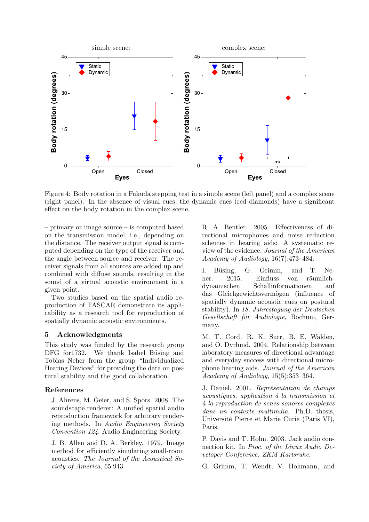

Figure 4: Body rotation in a Fukuda stepping test in a simple scene (left panel) and a complex scene (right panel). In the absence of visual cues, the dynamic cues (red diamonds) have a significant effect on the body rotation in the complex scene.

– primary or image source – is computed based on the transmission model, i.e., depending on the distance. The receiver output signal is computed depending on the type of the receiver and the angle between source and receiver. The receiver signals from all sources are added up and combined with diffuse sounds, resulting in the sound of a virtual acoustic environment in a given point.

Two studies based on the spatial audio reproduction of TASCAR demonstrate its applicability as a research tool for reproduction of spatially dynamic acoustic environments.

# 5 Acknowledgments

This study was funded by the research group DFG for 1732. We thank Isabel Büsing and Tobias Neher from the group "Individualized Hearing Devices" for providing the data on postural stability and the good collaboration.

# References

J. Ahrens, M. Geier, and S. Spors. 2008. The soundscape renderer: A unified spatial audio reproduction framework for arbitrary rendering methods. In Audio Engineering Society Convention 124. Audio Engineering Society.

J. B. Allen and D. A. Berkley. 1979. Image method for efficiently simulating small-room acoustics. The Journal of the Acoustical Society of America, 65:943.

R. A. Bentler. 2005. Effectiveness of directional microphones and noise reduction schemes in hearing aids: A systematic review of the evidence. Journal of the American Academy of Audiology, 16(7):473–484.

I. Büsing, G. Grimm, and T. Neher. 2015. Einfluss von räumlichdynamischen Schallinformationen auf das Gleichgewichtsvermögen (influence of spatially dynamic acoustic cues on postural stability). In 18. Jahrestagung der Deutschen Gesellschaft für Audiologie, Bochum, Germany.

M. T. Cord, R. K. Surr, B. E. Walden, and O. Dyrlund. 2004. Relationship between laboratory measures of directional advantage and everyday success with directional microphone hearing aids. Journal of the American Academy of Audiology, 15(5):353–364.

J. Daniel. 2001. Représentation de champs  $a\text{ }c\text{ }o$  acoustiques, application  $\dot{a}$  la transmission et `a la reproduction de scnes sonores complexes dans un contexte multimdia. Ph.D. thesis, Université Pierre et Marie Curie (Paris VI), Paris.

P. Davis and T. Hohn. 2003. Jack audio connection kit. In Proc. of the Linux Audio Developer Conference. ZKM Karlsruhe.

G. Grimm, T. Wendt, V. Hohmann, and